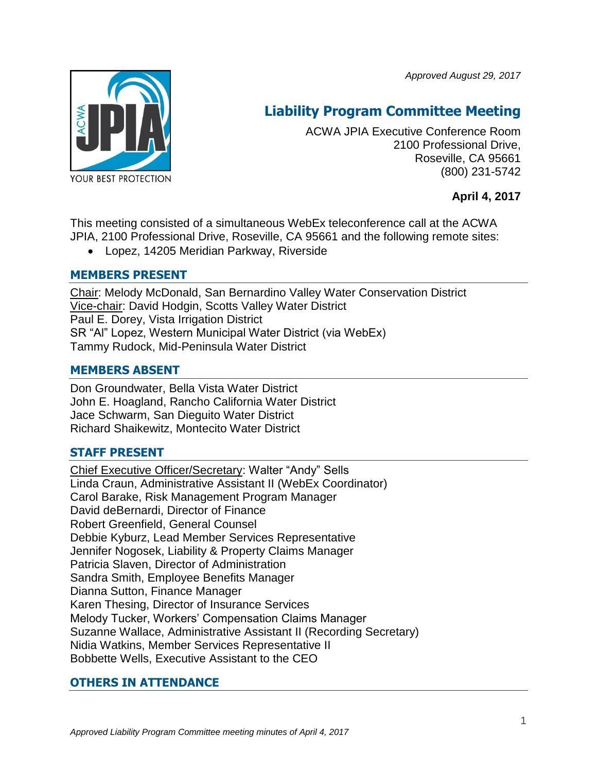*Approved August 29, 2017*



# **Liability Program Committee Meeting**

ACWA JPIA Executive Conference Room 2100 Professional Drive, Roseville, CA 95661 (800) 231-5742

## **April 4, 2017**

This meeting consisted of a simultaneous WebEx teleconference call at the ACWA JPIA, 2100 Professional Drive, Roseville, CA 95661 and the following remote sites:

Lopez, 14205 Meridian Parkway, Riverside

## **MEMBERS PRESENT**

Chair: Melody McDonald, San Bernardino Valley Water Conservation District Vice-chair: David Hodgin, Scotts Valley Water District Paul E. Dorey, Vista Irrigation District SR "Al" Lopez, Western Municipal Water District (via WebEx) Tammy Rudock, Mid-Peninsula Water District

## **MEMBERS ABSENT**

Don Groundwater, Bella Vista Water District John E. Hoagland, Rancho California Water District Jace Schwarm, San Dieguito Water District Richard Shaikewitz, Montecito Water District

# **STAFF PRESENT**

Chief Executive Officer/Secretary: Walter "Andy" Sells Linda Craun, Administrative Assistant II (WebEx Coordinator) Carol Barake, Risk Management Program Manager David deBernardi, Director of Finance Robert Greenfield, General Counsel Debbie Kyburz, Lead Member Services Representative Jennifer Nogosek, Liability & Property Claims Manager Patricia Slaven, Director of Administration Sandra Smith, Employee Benefits Manager Dianna Sutton, Finance Manager Karen Thesing, Director of Insurance Services Melody Tucker, Workers' Compensation Claims Manager Suzanne Wallace, Administrative Assistant II (Recording Secretary) Nidia Watkins, Member Services Representative II Bobbette Wells, Executive Assistant to the CEO

# **OTHERS IN ATTENDANCE**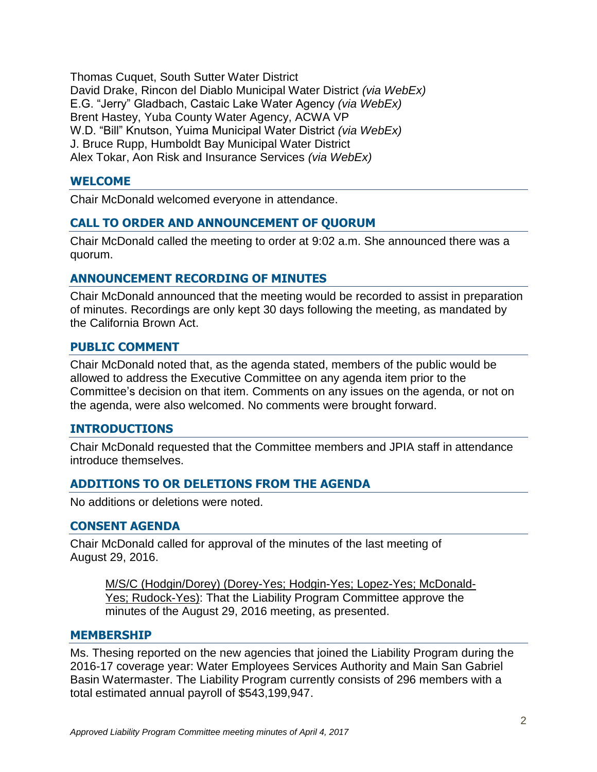Thomas Cuquet, South Sutter Water District David Drake, Rincon del Diablo Municipal Water District *(via WebEx)* E.G. "Jerry" Gladbach, Castaic Lake Water Agency *(via WebEx)* Brent Hastey, Yuba County Water Agency, ACWA VP W.D. "Bill" Knutson, Yuima Municipal Water District *(via WebEx)* J. Bruce Rupp, Humboldt Bay Municipal Water District Alex Tokar, Aon Risk and Insurance Services *(via WebEx)*

#### **WELCOME**

Chair McDonald welcomed everyone in attendance.

#### **CALL TO ORDER AND ANNOUNCEMENT OF QUORUM**

Chair McDonald called the meeting to order at 9:02 a.m. She announced there was a quorum.

## **ANNOUNCEMENT RECORDING OF MINUTES**

Chair McDonald announced that the meeting would be recorded to assist in preparation of minutes. Recordings are only kept 30 days following the meeting, as mandated by the California Brown Act.

#### **PUBLIC COMMENT**

Chair McDonald noted that, as the agenda stated, members of the public would be allowed to address the Executive Committee on any agenda item prior to the Committee's decision on that item. Comments on any issues on the agenda, or not on the agenda, were also welcomed. No comments were brought forward.

#### **INTRODUCTIONS**

Chair McDonald requested that the Committee members and JPIA staff in attendance introduce themselves.

#### **ADDITIONS TO OR DELETIONS FROM THE AGENDA**

No additions or deletions were noted.

#### **CONSENT AGENDA**

Chair McDonald called for approval of the minutes of the last meeting of August 29, 2016.

M/S/C (Hodgin/Dorey) (Dorey-Yes; Hodgin-Yes; Lopez-Yes; McDonald-Yes; Rudock-Yes): That the Liability Program Committee approve the minutes of the August 29, 2016 meeting, as presented.

#### **MEMBERSHIP**

Ms. Thesing reported on the new agencies that joined the Liability Program during the 2016-17 coverage year: Water Employees Services Authority and Main San Gabriel Basin Watermaster. The Liability Program currently consists of 296 members with a total estimated annual payroll of \$543,199,947.